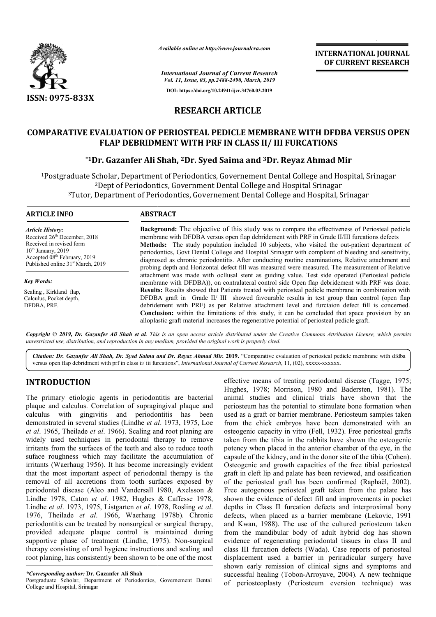

*Available online at http://www.journalcra.com*

*International Journal of Current Research Vol. 11, Issue, 03, pp.2488-2490, March, 2019* **DOI: https://doi.org/10.24941/ijcr.34760.03.2019**

**INTERNATIONAL JOURNAL OF CURRENT RESEARCH**

# **RESEARCH ARTICLE**

## **COMPARATIVE EVALUATION OF PERIOSTEAL PEDICLE MEMBRANE WITH DFDBA VERSUS OPEN PERIOSTEAL PEDICLE MEMBRANE DFDBA VERSUS FLAP DEBRIDMENT WITH PRF IN CLASS II/ III FURCATIONS**

## **\*1Dr. Gazanfer Ali Shah Shah, 2Dr. Syed Saima and 3Dr. Reyaz Ahmad Mir Reyaz**

<sup>1</sup>Postgraduate Scholar, Department of Periodontics, Governement Dental College and Hospital, Srinagar<sup>2</sup><br>Pept of Periodontics, Government Dental College and Hospital Srinagar<sup>3</sup>Tutor, Department of Periodontics, Governeme 2Dept of Periodontics, Government Dental College and Hospital Srinagar 3Tutor, Department of Periodontics, Governement Dental College and Hospital, Srinagar

#### **ARTICLE INFO ABSTRACT**

*Article History:* Received 26<sup>th</sup> December, 2018 Received in revised form  $10^{th}$  January, 2019 Accepted 08<sup>th</sup> February, 2019 Published online 31<sup>st</sup> March, 2019

*Key Words:* Scaling , Kirkland flap, Calculus, Pocket depth, DFDBA, PRF.

**Background:**  The objective of this study was to compare the effectiveness of Periosteal pedicle membrane with DFDBA versus open flap debridement with PRF in Grade II/III furcations defects membrane with DFDBA versus open flap debridement with PRF in Grade II/III furcations defects<br>**Methods:** The study population included 10 subjects, who visited the out-patient department of periodontics, Govt Dental College and Hospital Srinagar with complaint of bleeding and sensitivity, diagnosed as chronic periodontitis. After conducting routine examinations, Relative attachment and probing depth and Horizontal defect fill was measured were measured. The measurement of Relative attachment was made with ocllusal stent as guiding value. Test side operated (Periosteal pedicle membrane with DFDBA)), on contralateral control side Open flap debridement with PRF was done. **Results:**  Results showed that Patients treated with periosteal pedicle membrane in combination with DFDBA graft in Grade II/ III showed favourable results in test group than control (open flap membrane with DFDBA)), on contralateral control side Open flap debridement with PRF was done.<br>**Results:** Results showed that Patients treated with periosteal pedicle membrane in combination with<br>DFDBA graft in Grade II/ II **Conclusion:** within the limitations of this study, it can be concluded that space provision by an alloplastic graft material increases the regenerative potential of periosteal pedicle graft. alloplastic graft material increases the regenerative potential of periosteal pedicle graft periodontics, Govt Dental College and Hospital Srinagar with complaint of bleeding and sensitivity, diagnosed as chronic periodontitis. After conducting routine examinations, Relative attachment and probing depth and Horiz

Copyright © 2019, Dr. Gazanfer Ali Shah et al. This is an open access article distributed under the Creative Commons Attribution License, which permits *unrestricted use, distribution, and reproduction in any medium, provided the original work is properly cited.*

Citation: Dr. Gazanfer Ali Shah, Dr. Syed Saima and Dr. Reyaz Ahmad Mir. 2019. "Comparative evaluation of periosteal pedicle membrane with dfdba versus open flap debridment with prf in class ii/ iii furcations", *International Journal of Current Research*, 11, (02), xxxxx-xxxxxx.

# **INTRODUCTION**

The primary etiologic agents in periodontitis are bacterial plaque and calculus. Correlation of supragingival plaque and calculus with gingivitis and periodontitis has been demonstrated in several studies (Lindhe *et al* . 1973, 1975, Loe *et al*. 1965, Theilade *et al*. 1966). Scaling and root planing are widely used techniques in periodontal therapy to remove irritants from the surfaces of the teeth and also to reduce tooth suface roughness which may facilitate the accumulation of irritants (Waerhaug 1956). It has become increasingly evident that the most important aspect of periodontal therapy is the removal of all accretions from tooth surfaces exposed by periodontal disease (Aleo and Vandersall 1980, Axelsson & Lindhe 1978, Caton *et al*. 1982, Hughes & Caffesse 1978, Lindhe *et al*. 1973, 1975, Listgarten *et al*. 1978, Rosling *et al*. 1976, Theilade *et al*. 1966, Waerhaug 1978b). Chronic periodontitis can be treated by nonsurgical or surgical therapy, provided adequate plaque control is maintained during supportive phase of treatment (Lindhe, 1975). Non-surgical therapy consisting of oral hygiene instructions and scaling and root planing, has consistently been shown to be one of the most

Postgraduate Scholar, Department of Periodontics, Governement Dental College and Hospital, Srinagar

effective means of treating periodontal disease<br>
Highes, 1978; Morrison, 1980 and Baderstein<br>
correlation of surpargingival plaque and<br>
animal studies and chindel trials have st<br>
givitis and periodontitis has been used as Hughes, 1978; Morrison, 1980 and Badersten, 1981). The animal studies and clinical trials have shown that the periosteum has the potential to stimulate bone formation when used as a graft or barrier membrane. Periosteum samples taken from the chick embryos have been demonstrated with an osteogenic capacity in vitro (Fell, 1932). Free periosteal grafts taken from the tibia in the rabbits have shown the osteogenic potency when placed in the anterior chamber of the eye, in the taken from the tibia in the rabbits have shown the osteogenic<br>potency when placed in the anterior chamber of the eye, in the<br>capsule of the kidney, and in the donor site of the tibia (Cohen). Osteogenic and growth capacities of the free tibial periosteal Osteogenic and growth capacities of the free tibial periosteal graft in cleft lip and palate has been reviewed, and ossification of the periosteal graft has been confirmed (Raphaël, 2002). Free autogenous periosteal graft taken from the palate has shown the evidence of defect fill and improvements in pocket depths in Class II furcation defects and interproximal bony depths in Class II furcation defects and interproximal bony defects, when placed as a barrier membrane (Lekovic, 1991) and Kwan, 1988). The use of the cultured periosteum taken from the mandibular body of adult hybrid dog has shown from the mandibular body of adult hybrid dog has shown evidence of regenerating periodontal tissues in class II and class III furcation defects (Wada). Case reports of periosteal displacement used a barrier in periradicular surgery have shown early remission of clinical signs and symptoms and successful healing (Tobon-Arroyave Arroyave, 2004). A new technique of periosteoplasty (Periosteum eversion technique) was effective means of treating periodontal disease (Tagge, 1975; I studies and clinical trials have shown that the teum has the potential to stimulate bone formation when is a graft or barrier membrane. Periosteum samples taken the chick embryos have been demonstrated with an genic capa For the Content of Repairing Transmitterial of Periodic and SPRANCE (PRICEN TRESEARCH OF CURRENT RESEARCH OF CURRENT RESEARCH (For CONTRET) and The CONTRENT Content of Repairing and Hospital Srinagar and Hospital Srinagar

*<sup>\*</sup>Corresponding author:* **Dr. Gazanfer Ali Shah**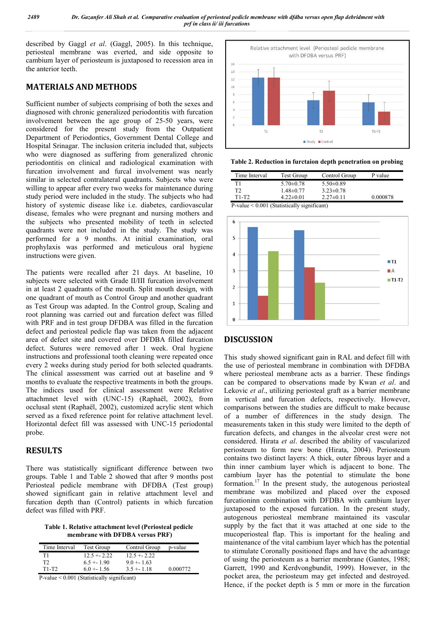described by Gaggl *et al*. (Gaggl, 2005). In this technique, periosteal membrane was everted, and side opposite to cambium layer of periosteum is juxtaposed to recession area in the anterior teeth.

## **MATERIALS AND METHODS**

Sufficient number of subjects comprising of both the sexes and diagnosed with chronic generalized periodontitis with furcation involvement between the age group of 25-50 years, were considered for the present study from the Outpatient Department of Periodontics, Government Dental College and Hospital Srinagar. The inclusion criteria included that, subjects who were diagnosed as suffering from generalized chronic periodontitis on clinical and radiological examination with furcation involvement and furcal involvement was nearly similar in selected contralateral quadrants. Subjects who were willing to appear after every two weeks for maintenance during study period were included in the study. The subjects who had history of systemic disease like i.e. diabetes, cardiovascular disease, females who were pregnant and nursing mothers and the subjects who presented mobility of teeth in selected quadrants were not included in the study. The study was performed for a 9 months. At initial examination, oral prophylaxis was performed and meticulous oral hygiene instructions were given.

The patients were recalled after 21 days. At baseline, 10 subjects were selected with Grade II/III furcation involvement in at least 2 quadrants of the mouth. Split mouth design, with one quadrant of mouth as Control Group and another quadrant as Test Group was adapted. In the Control group, Scaling and root planning was carried out and furcation defect was filled with PRF and in test group DFDBA was filled in the furcation defect and periosteal pedicle flap was taken from the adjacent area of defect site and covered over DFDBA filled furcation defect. Sutures were removed after 1 week. Oral hygiene instructions and professional tooth cleaning were repeated once every 2 weeks during study period for both selected quadrants. The clinical assessment was carried out at baseline and 9 months to evaluate the respective treatments in both the groups. The indices used for clinical assessment were Relative attachmnet level with (UNC-15) (Raphaël, 2002), from occlusal stent (Raphaël, 2002), customized acrylic stent which served as a fixed reference point for relative attachment level. Horizontal defect fill was assessed with UNC-15 periodontal probe.

#### **RESULTS**

There was statistically significant difference between two groups. Table 1 and Table 2 showed that after 9 months post Periosteal pedicle membrane with DFDBA (Test group) showed significant gain in relative attachment level and furcation depth than (Control) patients in which furcation defect was filled with PRF.

**Table 1. Relative attachment level (Periosteal pedicle membrane with DFDBA versus PRF)**

| Time Interval                                                                                                                                                                                                                                                                                                                                                                                                           | <b>Test Group</b> | Control Group | p-value  |
|-------------------------------------------------------------------------------------------------------------------------------------------------------------------------------------------------------------------------------------------------------------------------------------------------------------------------------------------------------------------------------------------------------------------------|-------------------|---------------|----------|
| Τ1                                                                                                                                                                                                                                                                                                                                                                                                                      | $12.5 + 2.22$     | $12.5 + 2.22$ |          |
| ТŽ                                                                                                                                                                                                                                                                                                                                                                                                                      | $6.5 + 1.90$      | $9.0 + 1.63$  |          |
| $T1-T2$                                                                                                                                                                                                                                                                                                                                                                                                                 | $6.0 + 1.56$      | $3.5 + 1.18$  | 0.000772 |
| $\mathbf{D} = \mathbf{I} - \mathbf{z} \mathbf{A} \mathbf{A} \mathbf{A} + \mathbf{A} \mathbf{A} \mathbf{A} + \mathbf{A} \mathbf{A} + \mathbf{A} \mathbf{A} + \mathbf{A} \mathbf{A} + \mathbf{A} \mathbf{A} + \mathbf{A} \mathbf{A} + \mathbf{A} \mathbf{A} + \mathbf{A} \mathbf{A} + \mathbf{A} \mathbf{A} + \mathbf{A} \mathbf{A} + \mathbf{A} \mathbf{A} + \mathbf{A} \mathbf{A} + \mathbf{A} \mathbf{A} + \mathbf{A}$ |                   |               |          |

P-value < 0.001 (Statistically significant)



**Table 2. Reduction in furctaion depth penetration on probing**

| Time Interval | Test Group      | Control Group   | P value  |
|---------------|-----------------|-----------------|----------|
| T1            | $5.70 \pm 0.78$ | $5.50\pm0.89$   |          |
| T2            | $1.48 \pm 0.77$ | $3.23 \pm 0.78$ |          |
| T1-T2         | $4.22 \pm 0.01$ | $2.27\pm 0.11$  | 0.000878 |

P-value < 0.001 (Statistically significant)



#### **DISCUSSION**

This study showed significant gain in RAL and defect fill with the use of periosteal membrane in combination with DFDBA where periosteal membrane acts as a barrier. These findings can be compared to observations made by Kwan *et al*. and Lekovic *et al*., utilizing periosteal graft as a barrier membrane in vertical and furcation defects, respectively. However, comparisons between the studies are difficult to make because of a number of differences in the study design. The measurements taken in this study were limited to the depth of furcation defects, and changes in the alveolar crest were not considered. Hirata *et al*. described the ability of vascularized periosteum to form new bone (Hirata, 2004). Periosteum contains two distinct layers: A thick, outer fibrous layer and a thin inner cambium layer which is adjacent to bone. The cambium layer has the potential to stimulate the bone formation.17 In the present study, the autogenous periosteal membrane was mobilized and placed over the exposed furcationinn combination with DFDBA with cambium layer juxtaposed to the exposed furcation. In the present study, autogenous periosteal membrane maintained its vascular supply by the fact that it was attached at one side to the mucoperiosteal flap. This is important for the healing and maintenance of the vital cambium layer which has the potential to stimulate Coronally positioned flaps and have the advantage of using the periosteum as a barrier membrane (Gantes, 1988; Garrett, 1990 and Kerdvongbundit, 1999). However, in the pocket area, the periosteum may get infected and destroyed. Hence, if the pocket depth is 5 mm or more in the furcation